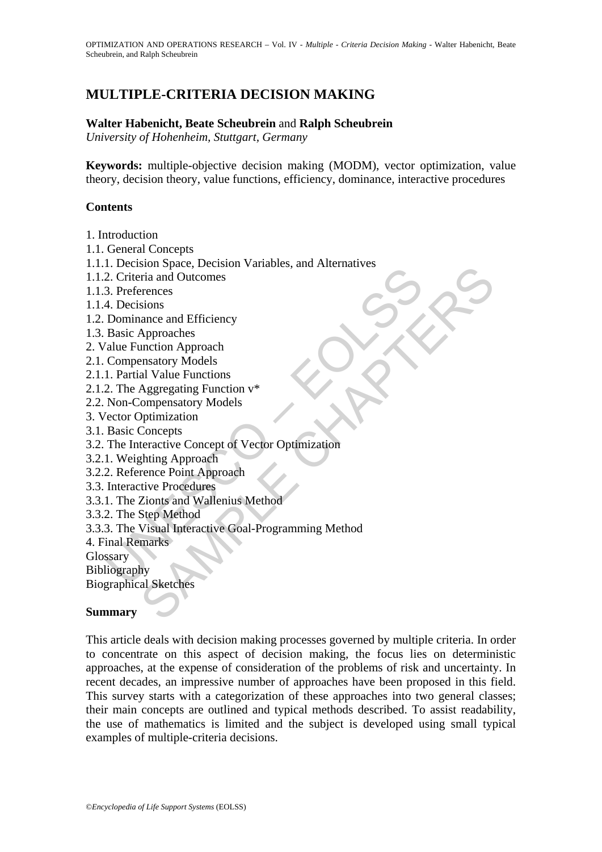# **MULTIPLE-CRITERIA DECISION MAKING**

#### **Walter Habenicht, Beate Scheubrein** and **Ralph Scheubrein**

*University of Hohenheim, Stuttgart, Germany* 

**Keywords:** multiple-objective decision making (MODM), vector optimization, value theory, decision theory, value functions, efficiency, dominance, interactive procedures

#### **Contents**

- 1. Introduction
- 1.1. General Concepts
- 1.1.1. Decision Space, Decision Variables, and Alternatives
- 1.1.2. Criteria and Outcomes
- 1.1.3. Preferences
- 1.1.4. Decisions
- 1.2. Dominance and Efficiency
- 1.3. Basic Approaches
- 2. Value Function Approach
- 2.1. Compensatory Models
- 2.1.1. Partial Value Functions
- 2.1.2. The Aggregating Function v\*
- 2.2. Non-Compensatory Models
- 3. Vector Optimization
- 3.1. Basic Concepts
- 3.2. The Interactive Concept of Vector Optimization
- 3.2.1. Weighting Approach
- 3.2.2. Reference Point Approach
- 3.3. Interactive Procedures
- 3.3.1. The Zionts and Wallenius Method
- 3.3.2. The Step Method
- The Containst Containstance Containstance Contains and Outcomes<br>
2. Criteria and Outcomes<br>
4. Decisions<br>
Basic Approaches<br>
Talue Function Approach<br>
Talue Functions<br>
2. The Aggregating Function<br>
2. The Aggregating Function Short space, Locuston<br>
Tria and Outcomes<br>
erences<br>
sions<br>
and Outcomes<br>
Approaches<br>
and Outcomes<br>
Approaches<br>
and Value Functions<br>
Aggregating Function<br>
Aggregating Function<br>
Aggregating Function<br>
Comepens<br>
teractive Conce 3.3.3. The Visual Interactive Goal-Programming Method
- 4. Final Remarks

Glossary

Bibliography

Biographical Sketches

#### **Summary**

This article deals with decision making processes governed by multiple criteria. In order to concentrate on this aspect of decision making, the focus lies on deterministic approaches, at the expense of consideration of the problems of risk and uncertainty. In recent decades, an impressive number of approaches have been proposed in this field. This survey starts with a categorization of these approaches into two general classes; their main concepts are outlined and typical methods described. To assist readability, the use of mathematics is limited and the subject is developed using small typical examples of multiple-criteria decisions.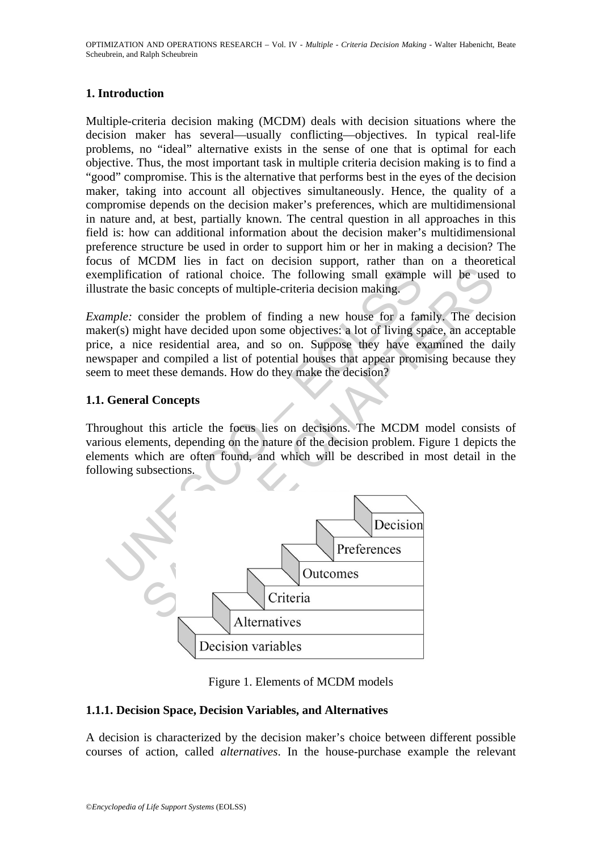### **1. Introduction**

Multiple-criteria decision making (MCDM) deals with decision situations where the decision maker has several—usually conflicting—objectives. In typical real-life problems, no "ideal" alternative exists in the sense of one that is optimal for each objective. Thus, the most important task in multiple criteria decision making is to find a "good" compromise. This is the alternative that performs best in the eyes of the decision maker, taking into account all objectives simultaneously. Hence, the quality of a compromise depends on the decision maker's preferences, which are multidimensional in nature and, at best, partially known. The central question in all approaches in this field is: how can additional information about the decision maker's multidimensional preference structure be used in order to support him or her in making a decision? The focus of MCDM lies in fact on decision support, rather than on a theoretical exemplification of rational choice. The following small example will be used to illustrate the basic concepts of multiple-criteria decision making.

*Example:* consider the problem of finding a new house for a family. The decision maker(s) might have decided upon some objectives: a lot of living space, an acceptable price, a nice residential area, and so on. Suppose they have examined the daily newspaper and compiled a list of potential houses that appear promising because they seem to meet these demands. How do they make the decision?

## **1.1. General Concepts**

Throughout this article the focus lies on decisions. The MCDM model consists of various elements, depending on the nature of the decision problem. Figure 1 depicts the elements which are often found, and which will be described in most detail in the following subsections.



Figure 1. Elements of MCDM models

## **1.1.1. Decision Space, Decision Variables, and Alternatives**

A decision is characterized by the decision maker's choice between different possible courses of action, called *alternatives*. In the house-purchase example the relevant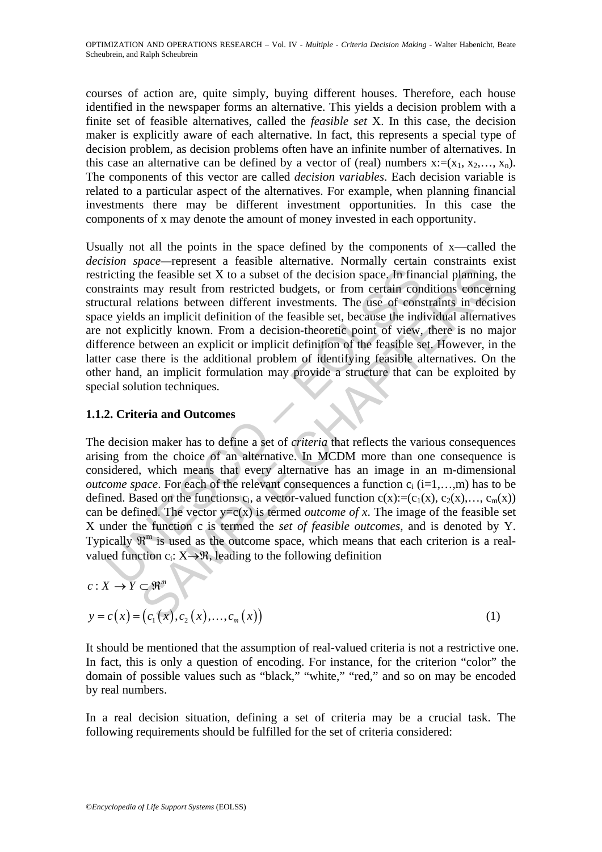courses of action are, quite simply, buying different houses. Therefore, each house identified in the newspaper forms an alternative. This yields a decision problem with a finite set of feasible alternatives, called the *feasible set* X. In this case, the decision maker is explicitly aware of each alternative. In fact, this represents a special type of decision problem, as decision problems often have an infinite number of alternatives. In this case an alternative can be defined by a vector of (real) numbers  $x:=(x_1, x_2,..., x_n)$ . The components of this vector are called *decision variables*. Each decision variable is related to a particular aspect of the alternatives. For example, when planning financial investments there may be different investment opportunities. In this case the components of x may denote the amount of money invested in each opportunity.

the feasible set X to a subset of the decision space. In financial planning<br>may result from restricted budgets, or from certain conditions concer-<br>elations between different investments. The use of constraints in decision Usually not all the points in the space defined by the components of x—called the *decision space—*represent a feasible alternative. Normally certain constraints exist restricting the feasible set X to a subset of the decision space. In financial planning, the constraints may result from restricted budgets, or from certain conditions concerning structural relations between different investments. The use of constraints in decision space yields an implicit definition of the feasible set, because the individual alternatives are not explicitly known. From a decision-theoretic point of view, there is no major difference between an explicit or implicit definition of the feasible set. However, in the latter case there is the additional problem of identifying feasible alternatives. On the other hand, an implicit formulation may provide a structure that can be exploited by special solution techniques.

## **1.1.2. Criteria and Outcomes**

criting the feasible set X to a subset of the decision space. In final<br>straints may result from restricted budgets, or from cretain con<br>ctural relations between different investments. The use of conse<br>yields an implicit d The decision maker has to define a set of *criteria* that reflects the various consequences arising from the choice of an alternative. In MCDM more than one consequence is considered, which means that every alternative has an image in an m-dimensional *outcome space*. For each of the relevant consequences a function  $c_i$  ( $i=1,...,m$ ) has to be defined. Based on the functions  $c_i$ , a vector-valued function  $c(x) := (c_1(x), c_2(x), \ldots, c_m(x))$ can be defined. The vector  $y=c(x)$  is termed *outcome of x*. The image of the feasible set X under the function c is termed the *set of feasible outcomes*, and is denoted by Y. Typically  $\mathbb{R}^m$  is used as the outcome space, which means that each criterion is a realvalued function  $c_i: X \rightarrow \mathcal{R}$ , leading to the following definition

$$
c: X \to Y \subset \mathfrak{R}^m
$$
  

$$
y = c(x) = (c_1(x), c_2(x), \dots, c_m(x))
$$
 (1)

It should be mentioned that the assumption of real-valued criteria is not a restrictive one. In fact, this is only a question of encoding. For instance, for the criterion "color" the domain of possible values such as "black," "white," "red," and so on may be encoded by real numbers.

In a real decision situation, defining a set of criteria may be a crucial task. The following requirements should be fulfilled for the set of criteria considered: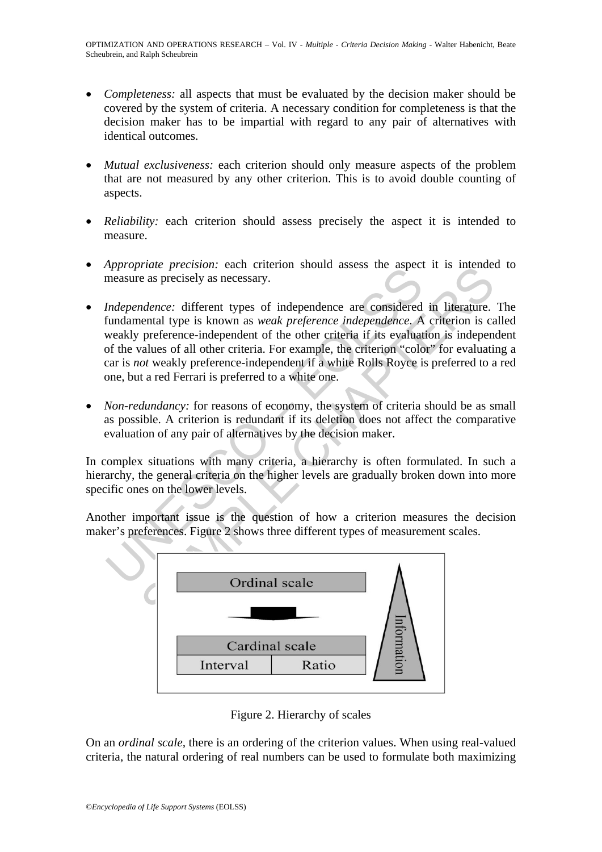- *Completeness:* all aspects that must be evaluated by the decision maker should be covered by the system of criteria. A necessary condition for completeness is that the decision maker has to be impartial with regard to any pair of alternatives with identical outcomes.
- *Mutual exclusiveness:* each criterion should only measure aspects of the problem that are not measured by any other criterion. This is to avoid double counting of aspects.
- *Reliability:* each criterion should assess precisely the aspect it is intended to measure.
- *Appropriate precision:* each criterion should assess the aspect it is intended to measure as precisely as necessary.
- Independence: different types of independence are considered<br>measure as precisely as necessary.<br>Independence: different types of independence are considered<br>fundamental type is known as *weak preference independence*. A<br>we The precision. each circle in showing assess the aspect it is intended<br>as precisely as necessary.<br> *dence:* different types of independence are considered in literature.<br>
preference-independent of the other criteria if it • *Independence:* different types of independence are considered in literature. The fundamental type is known as *weak preference independence*. A criterion is called weakly preference-independent of the other criteria if its evaluation is independent of the values of all other criteria. For example, the criterion "color" for evaluating a car is *not* weakly preference-independent if a white Rolls Royce is preferred to a red one, but a red Ferrari is preferred to a white one.
- *Non-redundancy:* for reasons of economy, the system of criteria should be as small as possible. A criterion is redundant if its deletion does not affect the comparative evaluation of any pair of alternatives by the decision maker.

In complex situations with many criteria, a hierarchy is often formulated. In such a hierarchy, the general criteria on the higher levels are gradually broken down into more specific ones on the lower levels.

Another important issue is the question of how a criterion measures the decision maker's preferences. Figure 2 shows three different types of measurement scales.



Figure 2. Hierarchy of scales

On an *ordinal scale,* there is an ordering of the criterion values. When using real-valued criteria, the natural ordering of real numbers can be used to formulate both maximizing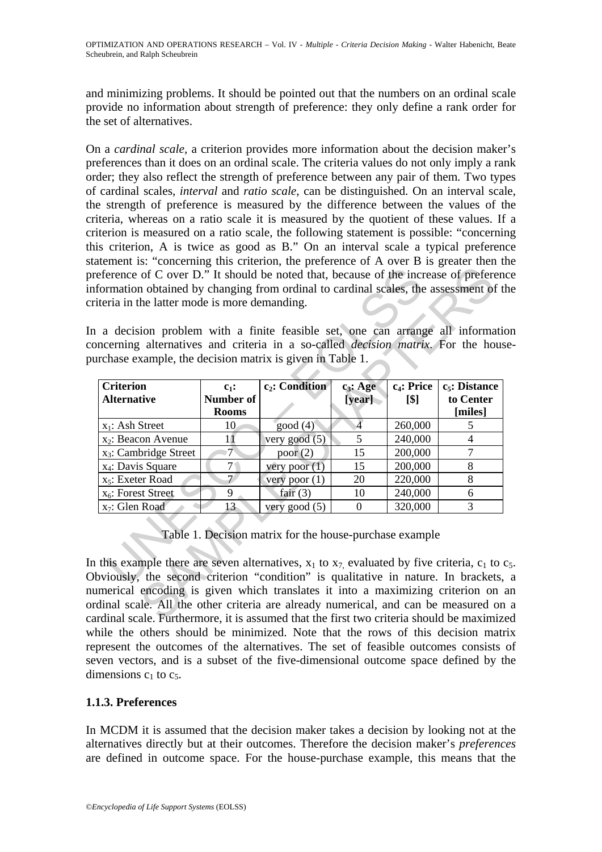and minimizing problems. It should be pointed out that the numbers on an ordinal scale provide no information about strength of preference: they only define a rank order for the set of alternatives.

On a *cardinal scale,* a criterion provides more information about the decision maker's preferences than it does on an ordinal scale. The criteria values do not only imply a rank order; they also reflect the strength of preference between any pair of them. Two types of cardinal scales, *interval* and *ratio scale*, can be distinguished. On an interval scale, the strength of preference is measured by the difference between the values of the criteria, whereas on a ratio scale it is measured by the quotient of these values. If a criterion is measured on a ratio scale, the following statement is possible: "concerning this criterion, A is twice as good as B." On an interval scale a typical preference statement is: "concerning this criterion, the preference of A over B is greater then the preference of C over D." It should be noted that, because of the increase of preference information obtained by changing from ordinal to cardinal scales, the assessment of the criteria in the latter mode is more demanding.

In a decision problem with a finite feasible set, one can arrange all information concerning alternatives and criteria in a so-called *decision matrix*. For the housepurchase example, the decision matrix is given in Table 1.

| rchase example, the decision matrix is given in Table 1. |                                      |                            |                       |                                |                                          |
|----------------------------------------------------------|--------------------------------------|----------------------------|-----------------------|--------------------------------|------------------------------------------|
| <b>Criterion</b><br><b>Alternative</b>                   | $c_1$ :<br>Number of<br><b>Rooms</b> | c <sub>2</sub> : Condition | $c_3$ : Age<br>[year] | c <sub>4</sub> : Price<br>[\$] | $c_5$ : Distance<br>to Center<br>[miles] |
| $x_1$ : Ash Street                                       | 10                                   | good(4)                    | $\overline{A}$        | 260,000                        | 5                                        |
| x <sub>2</sub> : Beacon Avenue                           | 11                                   | very good $(5)$            | 5                     | 240,000                        | 4                                        |
| x <sub>3</sub> : Cambridge Street                        | $\overline{7}$                       | poor $(2)$                 | 15                    | 200,000                        | $\overline{7}$                           |
| x <sub>4</sub> : Davis Square                            | 7 <sup>1</sup>                       | very poor $(1)$            | 15                    | 200,000                        | 8                                        |
| x <sub>5</sub> : Exeter Road                             | $\overline{\tau}$                    | very poor $(1)$            | 20                    | 220,000                        | 8                                        |
| $x_6$ : Forest Street                                    | 9                                    | fair $(3)$                 | 10                    | 240,000                        | 6                                        |
| x <sub>7</sub> : Glen Road                               | 13                                   | very good $(5)$            | $\Omega$              | 320,000                        | 3                                        |

In this example there are seven alternatives,  $x_1$  to  $x_7$  evaluated by five criteria,  $c_1$  to  $c_5$ . Obviously, the second criterion "condition" is qualitative in nature. In brackets, a numerical encoding is given which translates it into a maximizing criterion on an ordinal scale. All the other criteria are already numerical, and can be measured on a cardinal scale. Furthermore, it is assumed that the first two criteria should be maximized while the others should be minimized. Note that the rows of this decision matrix represent the outcomes of the alternatives. The set of feasible outcomes consists of seven vectors, and is a subset of the five-dimensional outcome space defined by the dimensions  $c_1$  to  $c_5$ .

## **1.1.3. Preferences**

In MCDM it is assumed that the decision maker takes a decision by looking not at the alternatives directly but at their outcomes. Therefore the decision maker's *preferences* are defined in outcome space. For the house-purchase example, this means that the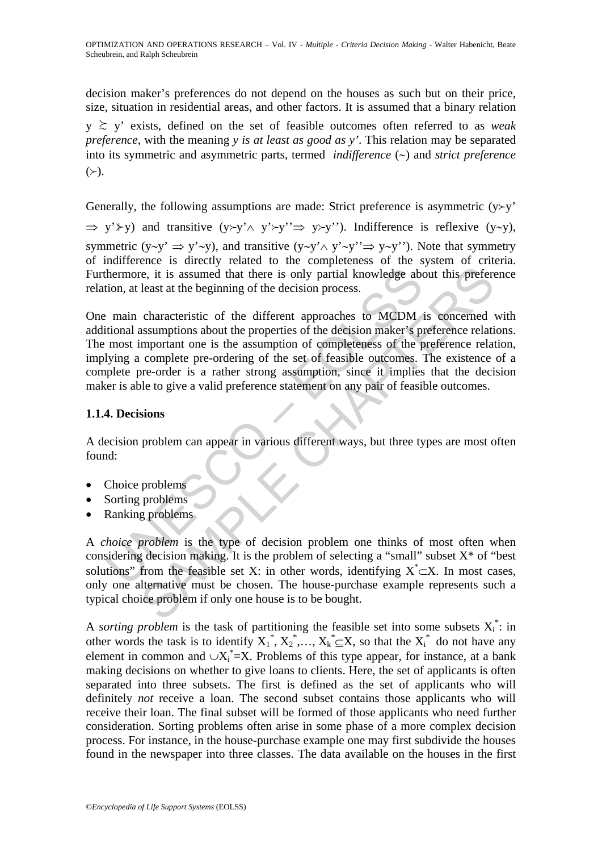decision maker's preferences do not depend on the houses as such but on their price, size, situation in residential areas, and other factors. It is assumed that a binary relation

y ≿ y' exists, defined on the set of feasible outcomes often referred to as *weak preference*, with the meaning *y is at least as good as y'*. This relation may be separated into its symmetric and asymmetric parts, termed *indifference* (∼) and *strict preference*  $(\succ).$ 

Generally, the following assumptions are made: Strict preference is asymmetric  $(y \rightarrow y'$ 

 $\Rightarrow$  y' $\forall$ y) and transitive (y≻y'∧ y'≻y'' $\Rightarrow$  y≻y''). Indifference is reflexive (y~y), symmetric (y∼y' ⇒ y'∼y), and transitive (y∼y'∧ y'∼y''⇒ y∼y''). Note that symmetry of indifference is directly related to the completeness of the system of criteria. Furthermore, it is assumed that there is only partial knowledge about this preference relation, at least at the beginning of the decision process.

thermore, it is assumed that there is only partial knowledge abtion, at least at the beginning of the decision process.<br>
I main characteristic of the different approaches to MCDM<br>
itional assumptions about the properties o Fraction is assumed that there is only partial knowledge about this preferent least at the beginning of the decision process.<br>
characteristic of the different approaches to MCDM is concerned assumptions about the properti One main characteristic of the different approaches to MCDM is concerned with additional assumptions about the properties of the decision maker's preference relations. The most important one is the assumption of completeness of the preference relation, implying a complete pre-ordering of the set of feasible outcomes. The existence of a complete pre-order is a rather strong assumption, since it implies that the decision maker is able to give a valid preference statement on any pair of feasible outcomes.

### **1.1.4. Decisions**

A decision problem can appear in various different ways, but three types are most often found:

- Choice problems
- Sorting problems
- Ranking problems

A *choice problem* is the type of decision problem one thinks of most often when considering decision making. It is the problem of selecting a "small" subset  $X^*$  of "best" solutions" from the feasible set X: in other words, identifying  $X^* \subset X$ . In most cases, only one alternative must be chosen. The house-purchase example represents such a typical choice problem if only one house is to be bought.

A *sorting problem* is the task of partitioning the feasible set into some subsets  $X_i^*$ : in other words the task is to identify  $X_1^*, X_2^*,..., X_k^* \subseteq X$ , so that the  $X_i^*$  do not have any element in common and  $\cup X_i^* = X$ . Problems of this type appear, for instance, at a bank making decisions on whether to give loans to clients. Here, the set of applicants is often separated into three subsets. The first is defined as the set of applicants who will definitely *not* receive a loan. The second subset contains those applicants who will receive their loan. The final subset will be formed of those applicants who need further consideration. Sorting problems often arise in some phase of a more complex decision process. For instance, in the house-purchase example one may first subdivide the houses found in the newspaper into three classes. The data available on the houses in the first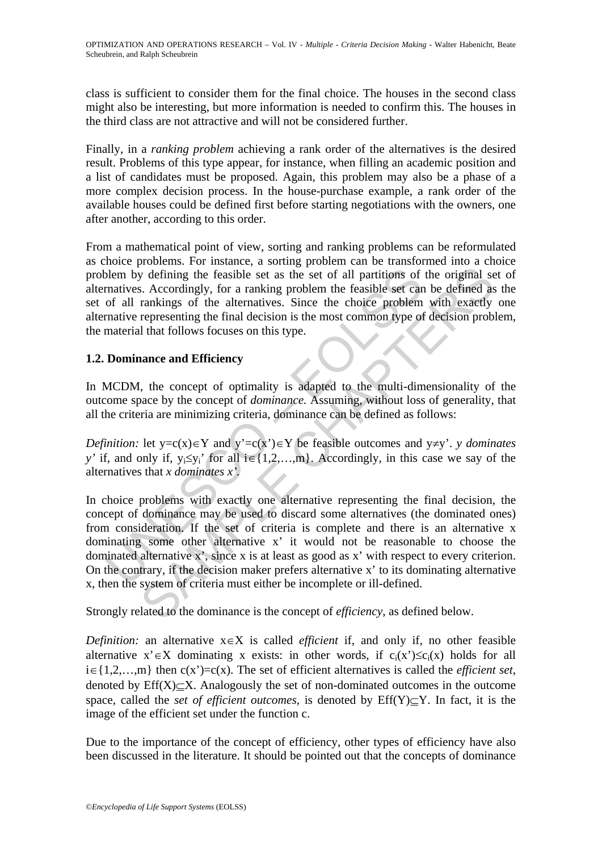class is sufficient to consider them for the final choice. The houses in the second class might also be interesting, but more information is needed to confirm this. The houses in the third class are not attractive and will not be considered further.

Finally, in a *ranking problem* achieving a rank order of the alternatives is the desired result. Problems of this type appear, for instance, when filling an academic position and a list of candidates must be proposed. Again, this problem may also be a phase of a more complex decision process. In the house-purchase example, a rank order of the available houses could be defined first before starting negotiations with the owners, one after another, according to this order.

From a mathematical point of view, sorting and ranking problems can be reformulated as choice problems. For instance, a sorting problem can be transformed into a choice problem by defining the feasible set as the set of all partitions of the original set of alternatives. Accordingly, for a ranking problem the feasible set can be defined as the set of all rankings of the alternatives. Since the choice problem with exactly one alternative representing the final decision is the most common type of decision problem, the material that follows focuses on this type.

## **1.2. Dominance and Efficiency**

In MCDM, the concept of optimality is adapted to the multi-dimensionality of the outcome space by the concept of *dominance.* Assuming, without loss of generality, that all the criteria are minimizing criteria, dominance can be defined as follows:

*Definition:* let y=c(x)∈Y and y'=c(x')∈Y be feasible outcomes and y≠y'. *y dominates y'* if, and only if,  $y_i \leq y_i'$  for all  $i \in \{1, 2, ..., m\}$ . Accordingly, in this case we say of the alternatives that *x dominates x'.* 

blem by defining the feasible set as the set of all partitions of<br>matives. Accordingly, for a ranking problem the feasible set can<br>of all rankings of the alternatives. Since the choice problem<br>mative representing the fina y defining the feasible set as the set of all partitions of the original set.<br>S. Accordingly, for a ranking problem the feasible set can be defined as<br>rankings of the alternatives. Since the choice problem with exactly<br>ra In choice problems with exactly one alternative representing the final decision, the concept of dominance may be used to discard some alternatives (the dominated ones) from consideration. If the set of criteria is complete and there is an alternative x dominating some other alternative x' it would not be reasonable to choose the dominated alternative x', since x is at least as good as x' with respect to every criterion. On the contrary, if the decision maker prefers alternative x' to its dominating alternative x, then the system of criteria must either be incomplete or ill-defined.

Strongly related to the dominance is the concept of *efficiency*, as defined below.

*Definition:* an alternative x∈X is called *efficient* if, and only if, no other feasible alternative x'∈X dominating x exists: in other words, if  $c_i(x') \leq c_i(x)$  holds for all i∈{1,2,…,m} then c(x')=c(x). The set of efficient alternatives is called the *efficient set*, denoted by  $Eff(X)\subset X$ . Analogously the set of non-dominated outcomes in the outcome space, called the *set of efficient outcomes,* is denoted by Eff(Y)⊆Y. In fact, it is the image of the efficient set under the function c.

Due to the importance of the concept of efficiency, other types of efficiency have also been discussed in the literature. It should be pointed out that the concepts of dominance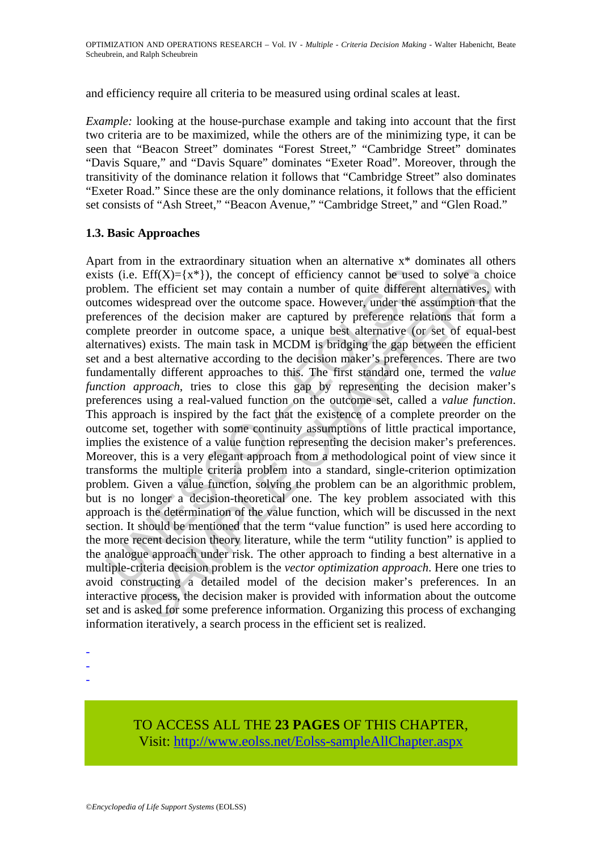and efficiency require all criteria to be measured using ordinal scales at least.

*Example:* looking at the house-purchase example and taking into account that the first two criteria are to be maximized, while the others are of the minimizing type, it can be seen that "Beacon Street" dominates "Forest Street," "Cambridge Street" dominates "Davis Square," and "Davis Square" dominates "Exeter Road". Moreover, through the transitivity of the dominance relation it follows that "Cambridge Street" also dominates "Exeter Road." Since these are the only dominance relations, it follows that the efficient set consists of "Ash Street," "Beacon Avenue," "Cambridge Street," and "Glen Road."

#### **1.3. Basic Approaches**

ts (i.e. Eff( $X$ )={ $x$ <sup>\*</sup>}), the concept of efficiency cannot be used<br>blem. The efficient set may contain a number of quite different<br>comes widespread over the outcome space. However, under the a<br>reneces of the decision m Eff( $X$ )={ $x^*$ }), the concept of efficiency cannot be used to solve a ch<br>Eff( $X$ )={ $x^*$ }), the concept of efficiency cannot be used to solve a ch<br>he efficient set may contain a number of quite different alternatives,<br>vi Apart from in the extraordinary situation when an alternative x\* dominates all others exists (i.e.  $Eff(X) = \{x^*\}\)$ , the concept of efficiency cannot be used to solve a choice problem. The efficient set may contain a number of quite different alternatives, with outcomes widespread over the outcome space. However, under the assumption that the preferences of the decision maker are captured by preference relations that form a complete preorder in outcome space, a unique best alternative (or set of equal-best alternatives) exists. The main task in MCDM is bridging the gap between the efficient set and a best alternative according to the decision maker's preferences. There are two fundamentally different approaches to this. The first standard one, termed the *value function approach*, tries to close this gap by representing the decision maker's preferences using a real-valued function on the outcome set, called a *value function*. This approach is inspired by the fact that the existence of a complete preorder on the outcome set, together with some continuity assumptions of little practical importance, implies the existence of a value function representing the decision maker's preferences. Moreover, this is a very elegant approach from a methodological point of view since it transforms the multiple criteria problem into a standard, single-criterion optimization problem. Given a value function, solving the problem can be an algorithmic problem, but is no longer a decision-theoretical one. The key problem associated with this approach is the determination of the value function, which will be discussed in the next section. It should be mentioned that the term "value function" is used here according to the more recent decision theory literature, while the term "utility function" is applied to the analogue approach under risk. The other approach to finding a best alternative in a multiple-criteria decision problem is the *vector optimization approach*. Here one tries to avoid constructing a detailed model of the decision maker's preferences. In an interactive process, the decision maker is provided with information about the outcome set and is asked for some preference information. Organizing this process of exchanging information iteratively, a search process in the efficient set is realized.

- -
- -
- -

## TO ACCESS ALL THE **23 PAGES** OF THIS CHAPTER, Visit: [http://www.eolss.net/Eolss-sampleAllChapter.aspx](https://www.eolss.net/ebooklib/sc_cart.aspx?File=E6-05-06-05)